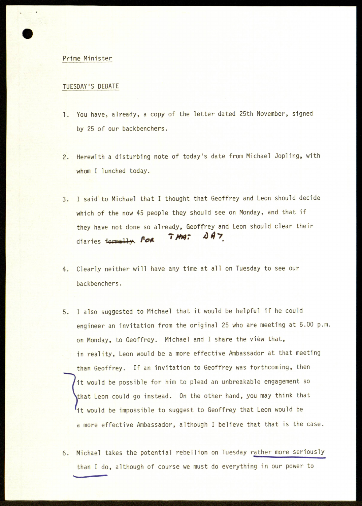## Prime Minister

**i**

## TUESDAY'S DEBATE

- 1. You have, already, a copy of the letter dated 25th November, signed by 25 of our backbenchers.
- 2. Herewith a disturbing note of today's date from Michael Jopling, with whom I lunched today.
- 3. I said to Michael that I thought that Geoffrey and Leon should decide which of the now 45 people they should see on Monday, and that if they have not done so already, Geoffrey and Leon should clear their diaries formally. For THA:  $\Delta$  A 7
- 4. Clearly neither will have any time at all on Tuesday to see our backbenchers.
- 5. I also suggested to Michael that it would be helpful if he could engineer an invitation from the original 25 who are meeting at 6.00 p.m. on Monday, to Geoffrey. Michael and I share the view that, in reality, Leon would be a more effective Ambassador at that meeting than Geoffrey. If an invitation to Geoffrey was forthcoming, then it would be possible for him to plead an unbreakable engagement so that Leon could go instead. On the other hand, you may think that <sup>1</sup>it would be impossible to suggest to Geoffrey that Leon would be a more effective Ambassador, although I believe that that is the case.
- 6. Michael takes the potential rebellion on Tuesday rather more seriously than I do, although of course we must do everything in our power to